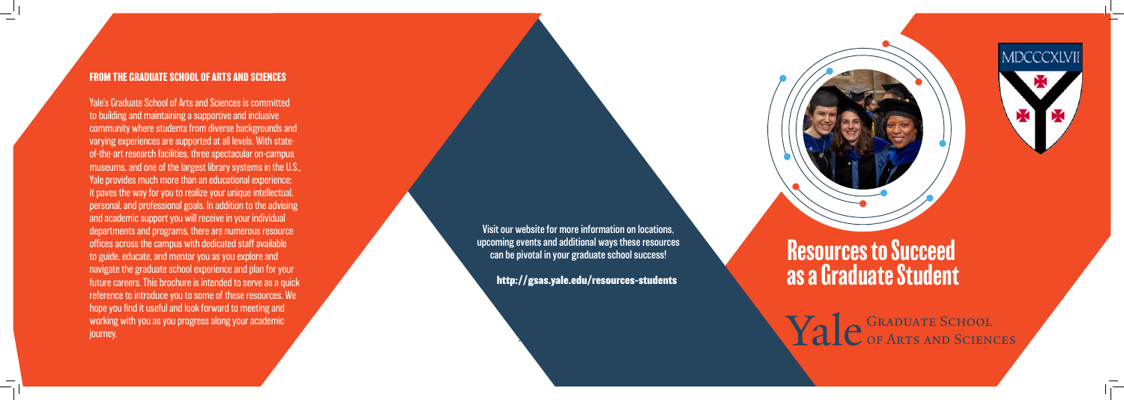## **FROM THE GRADUATE SCHOOL OF ARTS AND SCIENCES**

Yale's Graduate School of Arts and Sciences is committed to building and maintaining a supportive and inclusive community where students from diverse backgrounds and varying experiences are supported at all levels. With stateof-the-art research facilities, three spectacular on-campus museums, and one of the largest library systems in the U.S., Yale provides much more than an educational experience; it paves the way for you to realize your unique intellectual, personal, and professional goals. In addition to the advising and academic support you will receive in your individual departments and programs, there are numerous resource offices across the campus with dedicated staff available to guide, educate, and mentor you as you explore and navigate the graduate school experience and plan for your future careers. This brochure is intended to serve as a quick reference to introduce you to some of these resources. We hope you find it useful and look forward to meeting and working with you as you progress along your academic journey.

Resources to Succeed as a Graduate Student

Yale GRADUATE SCHOOL of Arts and Sciences

Visit our website for more information on locations, upcoming events and additional ways these resources can be pivotal in your graduate school success!

 **http://gsas.yale.edu/resources-students**